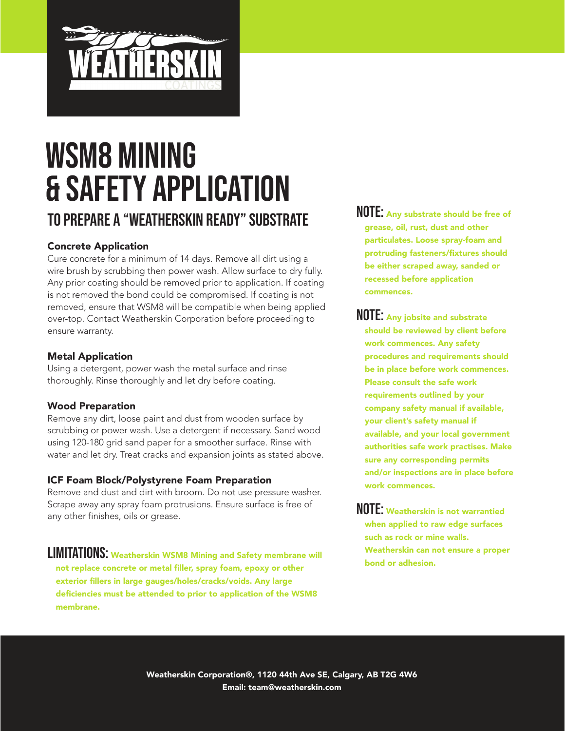

# WSM8 Mining & Safety Application To Prepare a "Weatherskin Ready" Substrate

#### Concrete Application

Cure concrete for a minimum of 14 days. Remove all dirt using a wire brush by scrubbing then power wash. Allow surface to dry fully. Any prior coating should be removed prior to application. If coating is not removed the bond could be compromised. If coating is not removed, ensure that WSM8 will be compatible when being applied over-top. Contact Weatherskin Corporation before proceeding to ensure warranty.

#### Metal Application

Using a detergent, power wash the metal surface and rinse thoroughly. Rinse thoroughly and let dry before coating.

#### Wood Preparation

Remove any dirt, loose paint and dust from wooden surface by scrubbing or power wash. Use a detergent if necessary. Sand wood using 120-180 grid sand paper for a smoother surface. Rinse with water and let dry. Treat cracks and expansion joints as stated above.

#### ICF Foam Block/Polystyrene Foam Preparation

Remove and dust and dirt with broom. Do not use pressure washer. Scrape away any spray foam protrusions. Ensure surface is free of any other finishes, oils or grease.

LIMITATIONS: Weatherskin WSM8 Mining and Safety membrane will not replace concrete or metal filler, spray foam, epoxy or other exterior fillers in large gauges/holes/cracks/voids. Any large deficiencies must be attended to prior to application of the WSM8 membrane.

- NOTE: Any substrate should be free of grease, oil, rust, dust and other particulates. Loose spray-foam and protruding fasteners/fixtures should be either scraped away, sanded or recessed before application commences.
- NOTE: Any jobsite and substrate should be reviewed by client before work commences. Any safety procedures and requirements should be in place before work commences. Please consult the safe work requirements outlined by your company safety manual if available, your client's safety manual if available, and your local government authorities safe work practises. Make sure any corresponding permits and/or inspections are in place before work commences.
- NOTE: Weatherskin is not warrantied when applied to raw edge surfaces such as rock or mine walls. Weatherskin can not ensure a proper bond or adhesion.